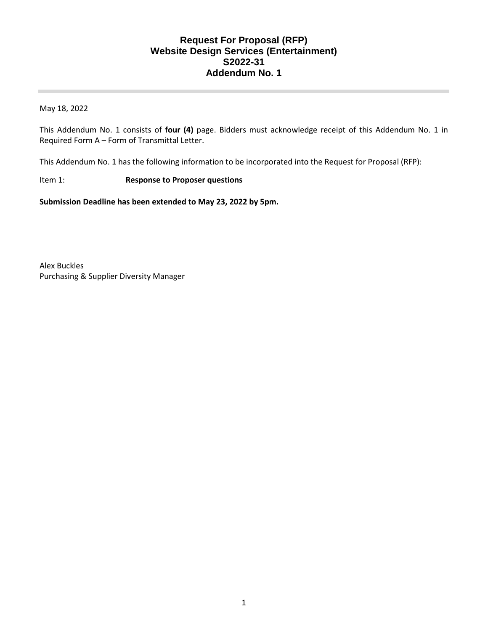#### **Request For Proposal (RFP) Website Design Services (Entertainment) S2022-31 Addendum No. 1**

May 18, 2022

This Addendum No. 1 consists of **four (4)** page. Bidders must acknowledge receipt of this Addendum No. 1 in Required Form A – Form of Transmittal Letter.

This Addendum No. 1 has the following information to be incorporated into the Request for Proposal (RFP):

#### Item 1: **Response to Proposer questions**

**Submission Deadline has been extended to May 23, 2022 by 5pm.**

Alex Buckles Purchasing & Supplier Diversity Manager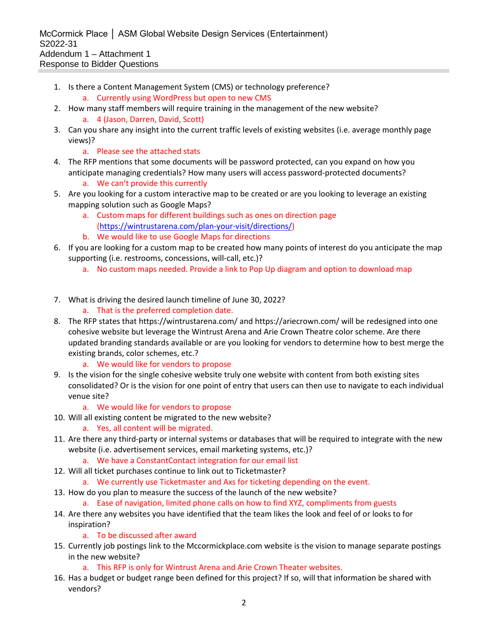McCormick Place │ ASM Global Website Design Services (Entertainment) S2022-31 Addendum 1 – Attachment 1 Response to Bidder Questions

- 1. Is there a Content Management System (CMS) or technology preference?
	- a. Currently using WordPress but open to new CMS
- 2. How many staff members will require training in the management of the new website? a. 4 (Jason, Darren, David, Scott)
- 3. Can you share any insight into the current traffic levels of existing websites (i.e. average monthly page views)?
	- a. Please see the attached stats
- 4. The RFP mentions that some documents will be password protected, can you expand on how you anticipate managing credentials? How many users will access password-protected documents?
	- a. We can't provide this currently
- 5. Are you looking for a custom interactive map to be created or are you looking to leverage an existing mapping solution such as Google Maps?
	- a. Custom maps for different buildings such as ones on direction page [\(https://wintrustarena.com/plan-your-visit/directions/\)](https://wintrustarena.com/plan-your-visit/directions/)
	- b. We would like to use Google Maps for directions
- 6. If you are looking for a custom map to be created how many points of interest do you anticipate the map supporting (i.e. restrooms, concessions, will-call, etc.)?
	- a. No custom maps needed. Provide a link to Pop Up diagram and option to download map
- 7. What is driving the desired launch timeline of June 30, 2022?
	- a. That is the preferred completion date.
- 8. The RFP states that https://wintrustarena.com/ and https://ariecrown.com/ will be redesigned into one cohesive website but leverage the Wintrust Arena and Arie Crown Theatre color scheme. Are there updated branding standards available or are you looking for vendors to determine how to best merge the existing brands, color schemes, etc.?
	- a. We would like for vendors to propose
- 9. Is the vision for the single cohesive website truly one website with content from both existing sites consolidated? Or is the vision for one point of entry that users can then use to navigate to each individual venue site?
	- a. We would like for vendors to propose
- 10. Will all existing content be migrated to the new website? a. Yes, all content will be migrated.
- 11. Are there any third-party or internal systems or databases that will be required to integrate with the new website (i.e. advertisement services, email marketing systems, etc.)?
	- a. We have a ConstantContact integration for our email list
- 12. Will all ticket purchases continue to link out to Ticketmaster?
	- a. We currently use Ticketmaster and Axs for ticketing depending on the event.
- 13. How do you plan to measure the success of the launch of the new website?
	- a. Ease of navigation, limited phone calls on how to find XYZ, compliments from guests
- 14. Are there any websites you have identified that the team likes the look and feel of or looks to for inspiration?
	- a. To be discussed after award
- 15. Currently job postings link to the Mccormickplace.com website is the vision to manage separate postings in the new website?
	- a. This RFP is only for Wintrust Arena and Arie Crown Theater websites.
- 16. Has a budget or budget range been defined for this project? If so, will that information be shared with vendors?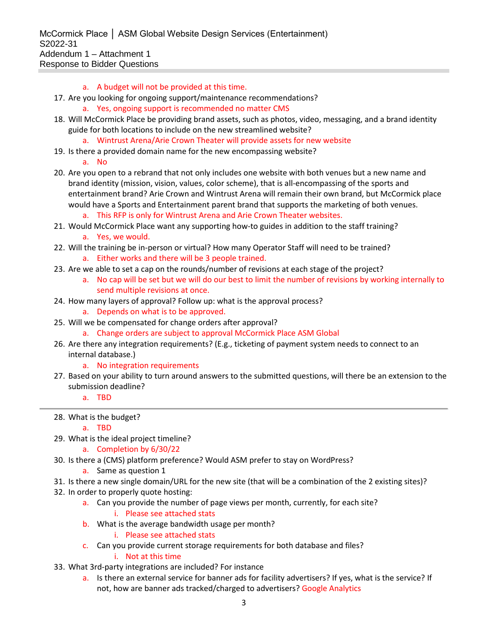- a. A budget will not be provided at this time.
- 17. Are you looking for ongoing support/maintenance recommendations?
	- a. Yes, ongoing support is recommended no matter CMS
- 18. Will McCormick Place be providing brand assets, such as photos, video, messaging, and a brand identity guide for both locations to include on the new streamlined website?
	- a. Wintrust Arena/Arie Crown Theater will provide assets for new website
- 19. Is there a provided domain name for the new encompassing website?
	- a. No
- 20. Are you open to a rebrand that not only includes one website with both venues but a new name and brand identity (mission, vision, values, color scheme), that is all-encompassing of the sports and entertainment brand? Arie Crown and Wintrust Arena will remain their own brand, but McCormick place would have a Sports and Entertainment parent brand that supports the marketing of both venues.

a. This RFP is only for Wintrust Arena and Arie Crown Theater websites.

- 21. Would McCormick Place want any supporting how-to guides in addition to the staff training? a. Yes, we would.
- 22. Will the training be in-person or virtual? How many Operator Staff will need to be trained?
	- a. Either works and there will be 3 people trained.
- 23. Are we able to set a cap on the rounds/number of revisions at each stage of the project?
	- a. No cap will be set but we will do our best to limit the number of revisions by working internally to send multiple revisions at once.
- 24. How many layers of approval? Follow up: what is the approval process?
	- a. Depends on what is to be approved.
- 25. Will we be compensated for change orders after approval?
	- a. Change orders are subject to approval McCormick Place ASM Global
- 26. Are there any integration requirements? (E.g., ticketing of payment system needs to connect to an internal database.)

#### a. No integration requirements

27. Based on your ability to turn around answers to the submitted questions, will there be an extension to the submission deadline?

a. TBD

#### 28. What is the budget?

a. TBD

29. What is the ideal project timeline?

#### a. Completion by 6/30/22

30. Is there a (CMS) platform preference? Would ASM prefer to stay on WordPress?

#### a. Same as question 1

- 31. Is there a new single domain/URL for the new site (that will be a combination of the 2 existing sites)?
- 32. In order to properly quote hosting:
	- a. Can you provide the number of page views per month, currently, for each site?

#### i. Please see attached stats

b. What is the average bandwidth usage per month?

i. Please see attached stats

- c. Can you provide current storage requirements for both database and files?
	- i. Not at this time
- 33. What 3rd-party integrations are included? For instance
	- a. Is there an external service for banner ads for facility advertisers? If yes, what is the service? If not, how are banner ads tracked/charged to advertisers? Google Analytics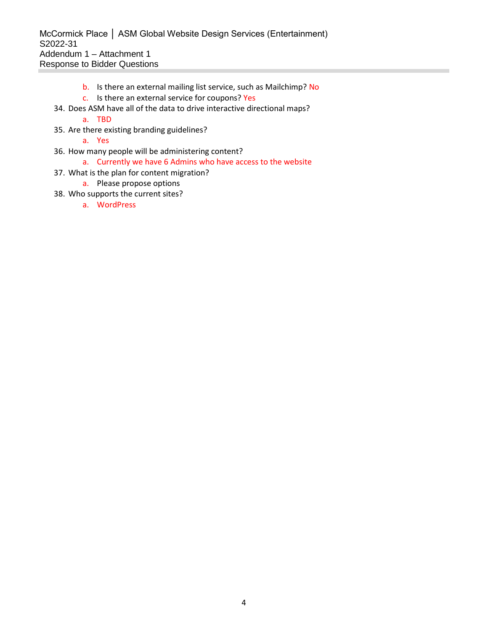McCormick Place │ ASM Global Website Design Services (Entertainment) S2022-31 Addendum 1 – Attachment 1 Response to Bidder Questions

- b. Is there an external mailing list service, such as Mailchimp? No
- c. Is there an external service for coupons? Yes
- 34. Does ASM have all of the data to drive interactive directional maps?

#### a. TBD

- 35. Are there existing branding guidelines?
	- a. Yes
- 36. How many people will be administering content?

#### a. Currently we have 6 Admins who have access to the website

- 37. What is the plan for content migration?
	- a. Please propose options
- 38. Who supports the current sites?
	- a. WordPress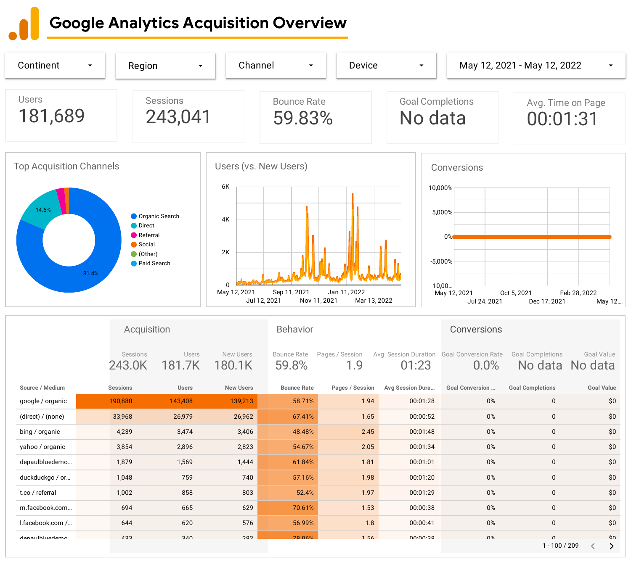# Google Analytics Acquisition Overview

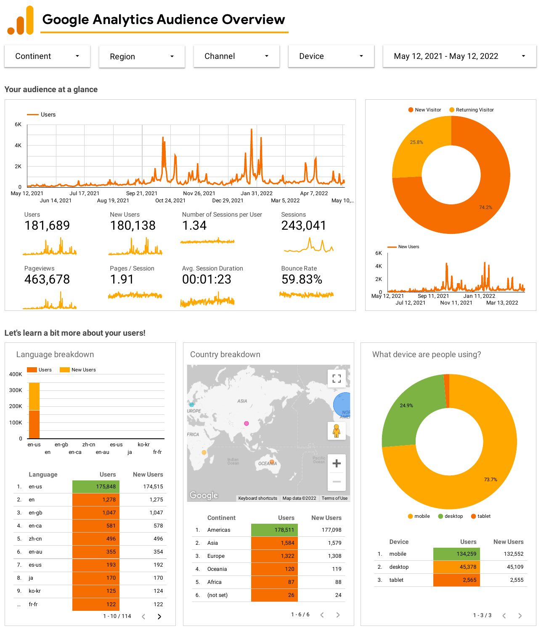Google Analytics Audience Overview



# **Let's learn a bit more about your users!**





|         | <b>Continent</b> | <b>Users</b> | <b>New Users</b> |
|---------|------------------|--------------|------------------|
| $1_{-}$ | Americas         | 178,511      | 177,098          |
| 2.5     | Asia             | 1,584        | 1,579            |
| 3.      | Europe           | 1,322        | 1,308            |
| 4.      | Oceania          | 120          | 119              |
| 5.      | Africa           | 87           | 88               |
| 6.      | (not set)        | 26           | 24               |
|         |                  |              | $1 - 6/6$<br>↘   |



| <b>Device</b>          | <b>Users</b> | <b>New Users</b> |
|------------------------|--------------|------------------|
| mobile<br>$\mathbf{1}$ | 134,259      | 132,552          |
| desktop<br>2.          | 45,378       | 45,109           |
| tablet<br>3.           | 2,565        | 2,555            |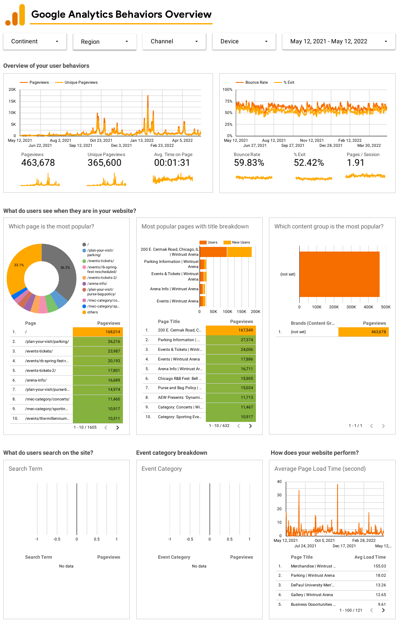# **What do users see when they are in your website?**



| 8.  | /mec-category/concerts/ |                 |        | 11,460 |
|-----|-------------------------|-----------------|--------|--------|
| 9.  | /mec-category/sportin   |                 |        | 10,917 |
| 10. | /events/the-millennium  |                 | 10.311 |        |
|     |                         | $1 - 10 / 1605$ |        |        |











## **What do users search on the site?**

# Event Category **Event Category Pageviews** No data -1 -0.5 0 0.5 1

**Event category breakdown**

 $1 - 1 / 1$  $\langle \quad \rangle$ 





# **How does your website perform?**

### **Overview of your user behaviors**

Google Analytics Behaviors Overview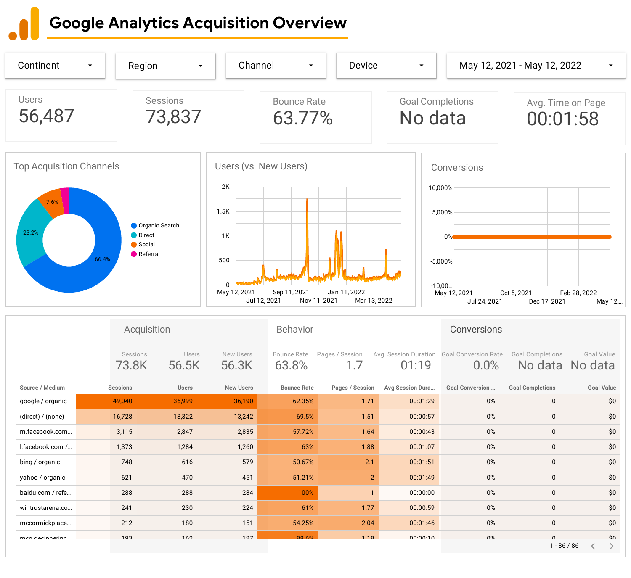# Google Analytics Acquisition Overview

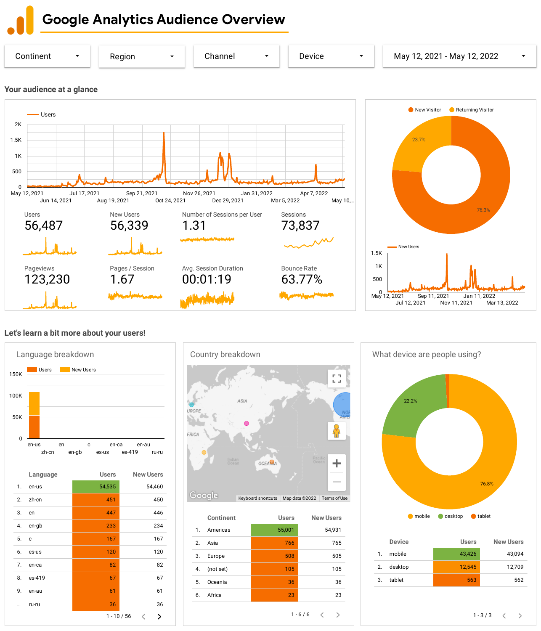Google Analytics Audience Overview



# **Let's learn a bit more about your users!**





|    | <b>Continent</b> | <b>Users</b> | <b>New Users</b> |
|----|------------------|--------------|------------------|
| 1. | Americas         | 55,001       | 54,931           |
| 2. | Asia             | 766          | 765              |
| 3. | Europe           | 508          | 505              |
| 4. | (not set)        | 105          | 105              |
| 5. | Oceania          | 36           | 36               |
| 6. | Africa           | 23           | 23               |
|    |                  |              | $1 - 6 / 6$<br>↘ |



| <b>Device</b> | <b>Users</b> | <b>New Users</b> |
|---------------|--------------|------------------|
| mobile<br>1.  | 43,426       | 43,094           |
| desktop<br>2. | 12,545       | 12,709           |
| tablet<br>3.  | 563          | 562              |
|               |              |                  |